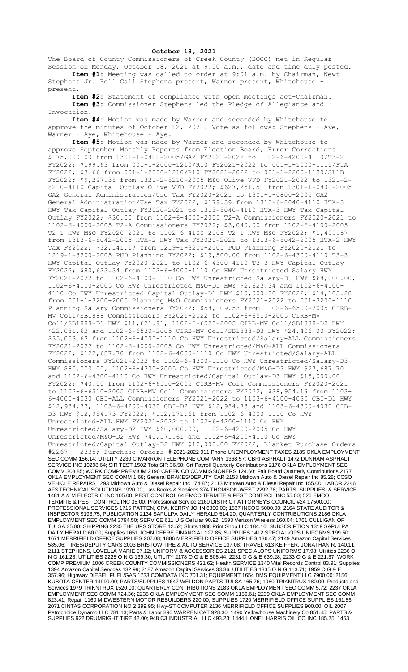## **October 18, 2021**

The Board of County Commissioners of Creek County (BOCC) met in Regular Session on Monday, October 18, 2021 at 9:00 a.m., date and time duly posted. **Item #1:** Meeting was called to order at 9:01 a.m. by Chairman, Newt

Stephens Jr. Roll Call Stephens present, Warner present, Whitehouse present.

**Item #2:** Statement of compliance with open meetings act-Chairman. **Item #3:** Commissioner Stephens led the Pledge of Allegiance and Invocation.

**Item #4:** Motion was made by Warner and seconded by Whitehouse to approve the minutes of October 12, 2021. Vote as follows: Stephens – Aye, Warner - Aye, Whitehouse - Aye.

**Item #5:** Motion was made by Warner and seconded by Whitehouse to approve September Monthly Reports from Election Board; Error Corrections \$175,000.00 from 1301-1-0800-2005/GA2 FY2021-2022 to 1102-6-4200-4110/T3-2 FY2022; \$199.63 from 001-1-2000-1210/R10 FY2021-2022 to 001-1-1000-1110/F1A FY2022; \$7.66 from 001-1-2000-1210/R10 FY2021-2022 to 001-1-2200-1130/SL1B FY2022; \$9,297.38 from 1321-2-8210-2005 M&O Olive VFD FY2021-2022 to 1321-2- 8210-4110 Capital Outlay Olive VFD FY2022; \$627,251.51 from 1301-1-0800-2005 GA2 General Administration/Use Tax FY2020-2021 to 1301-1-0800-2005 GA2 General Administration/Use Tax FY2022; \$179.39 from 1313-6-8040-4110 HTX-3 HWY Tax Capital Outlay FY2020-2021 to 1313-8040-4110 HTX-3 HWY Tax Capital Outlay FY2022; \$30.00 from 1102-6-4000-2005 T2-A Commissioners FY2020-2021 to 1102-6-4000-2005 T2-A Commissioners FY2022; \$3,040.00 from 1102-6-4100-2005 T2-1 HWY M&O FY2020-2021 to 1102-6-4100-2005 T2-1 HWY M&O FY2022; \$1,499.57 from 1313-6-8042-2005 HTX-2 HWY Tax FY2020-2021 to 1313-6-8042-2005 HTX-2 HWY Tax FY2022; \$32,141.17 from 1219-1-3200-2005 PUD Planning FY2020-2021 to 1219-1-3200-2005 PUD Planning FY2022; \$19,500.00 from 1102-6-4300-4110 T3-3 HWY Capital Outlay FY2020-2021 to 1102-6-4300-4110 T3-3 HWY Capital Outlay FY2022; \$80,623.34 from 1102-6-4000-1110 Co HWY Unrestricted Salary HWY FY2021-2022 to 1102-6-4100-1110 Co HWY Unrestricted Salary-D1 HWY \$68,000.00, 1102-6-4100-2005 Co HWY Unrestricted M&O-D1 HWY \$2,623.34 and 1102-6-4100- 4110 Co HWY Unrestricted Capital Outlay-D1 HWY \$10,000.00 FY2022; \$14,105.28 from 001-1-3200-2005 Planning M&O Commissioners FY2021-2022 to 001-3200-1110 Planning Salary Commissioners FY2022; \$58,109.53 from 1102-6-6500-2005 CIRB-MV Coll/SB1888 Commissioners FY2021-2022 to 1102-6-6510-2005 CIRB-MV Coll/SB1888-D1 HWY \$11,621.91, 1102-6-6520-2005 CIRB-MV Coll/SB1888-D2 HWY \$22,081.62 and 1102-6-6530-2005 CIRB-MV Coll/SB1888-D3 HWY \$24,406.00 FY2022; \$35,053.63 from 1102-6-4000-1110 Co HWY Unrestricted/Salary-ALL Commissioners FY2021-2022 to 1102-6-4000-2005 Co HWY Unrestricted/M&O-ALL Commissioners FY2022; \$122,687.70 from 1102-6-4000-1110 Co HWY Unrestricted/Salary-ALL Commissioners FY2021-2022 to 1102-6-4300-1110 Co HWY Unrestricted/Salary-D3 HWY \$80,000.00, 1102-6-4300-2005 Co HWY Unrestricted/M&O-D3 HWY \$27,687.70 and 1102-6-4300-4110 Co HWY Unrestricted/Capital Outlay-D3 HWY \$15,000.00 FY2022; \$40.00 from 1102-6-6510-2005 CIRB-MV Coll Commissioners FY2020-2021 to 1102-6-6510-2005 CIRB-MV Coll Commissioners FY2022; \$38,954.19 from 1103- 6-4000-4030 CBI-ALL Commissioners FY2021-2022 to 1103-6-4100-4030 CBI-D1 HWY \$12,984.73, 1103-6-4200-4030 CBI-D2 HWY \$12,984.73 and 1103-6-4300-4030 CIB-D3 HWY \$12,984.73 FY2022; \$112,171.61 from 1102-6-4000-1110 Co HWY Unrestricted-ALL HWY FY2021-2022 to 1102-6-4200-1110 Co HWY Unrestricted/Salary-D2 HWY \$60,000.00, 1102-6-4200-2005 Co HWY Unrestricted/M&O-D2 HWY \$40,171.61 and 1102-6-4200-4110 Co HWY Unrestricted/Capital Outlay-D2 HWY \$12,000.00 FY2022; Blanket Purchase Orders #2267 - 2335; Purchase Orders # 2021-2022 911 Phone UNEMPLOYMENT TAXES 2185 OKLA EMPLOYMENT SEC COMM 156.14; UTILITY 2230 CIMARRON TELEPHONE COMPANY 1368.57; CBRI ASPHALT 1472 DUNHAM ASPHALT SERVICE INC 10298.64; SIR TEST 1502 TotalSIR 36.50; Crt Payroll Quarterly Contributions 2176 OKLA EMPLOYMENT SEC COMM 308.85; WORK COMP PREMIUM 2190 CREEK CO COMMISSIONERS 124.60; Fair Board Quarterly Contributions 2177 OKLA EMPLOYMENT SEC COMM 1.68; General BRAKES/DEPUTY CAR 2153 Midtown Auto & Diesel Repair Inc 85.28; CCSO VEHICLE REPAIRS 1293 Midtown Auto & Diesel Repair Inc 174.87; 2113 Midtown Auto & Diesel Repair Inc 155.00; LABOR 2246 AF3 TECHNICAL SOLUTIONS 1920.00; Law Books & Services 374 THOMSON-WEST 2292.78; PARTS, SUPPLIES, & SERVICE 1481 A & M ELECTRIC INC 105.00; PEST CONTROL 64 EMCO TERMITE & PEST CONTROL INC 55.00; 526 EMCO TERMITE & PEST CONTROL INC 35.00; Professional Service 2160 DISTRICT ATTORNEYS COUNCIL #24 17500.00; PROFESSIONAL SERVICES 1715 PATTEN, CPA, KERRY JOHN 6800.00; 1837 INCOG 5000.00; 2164 STATE AUDITOR & INSPECTOR 9193.75; PUBLICATION 2134 SAPULPA DAILY HERALD 514.20; QUARTERLY CONTRIBUTIONS 2186 OKLA EMPLOYMENT SEC COMM 3794.50; SERVICE 611 U S Cellular 90.92; 1593 Verizon Wireless 160.04; 1761 CULLIGAN OF TULSA 35.80; SHIPPING 2235 THE UPS STORE 12.52; Shirts 1988 Print Shop LLC 184.16; SUBSCRIPTION 1319 SAPULPA DAILY HERALD 60.00; Supplies 1651 JOHN DEERE FINANCIAL 127.85; SUPPLIES 1412 SPECIAL-OPS UNIFORMS 199.50; 1671 MERRIFIELD OFFICE SUPPLIES 207.08; 1886 MERRIFIELD OFFICE SUPPLIES 136.47; 2149 Amazon Capital Services 585.06; TIRES/DEPUTY CARS 2003 BRISTOW TIRE & AUTO SERVICE 137.08; TRAVEL 613 KEIFFER, JONATHAN R. 140.11; 2111 STEPHENS, LOVELLA MARIE 57.12; UNIFORM & ACCESSORIES 2121 SPECIALOPS UNIFORMS 17.98; Utilities 2236 O N G 161.28; UTILITIES 2225 O N G 139.30; UTILITY 2178 O G & E 508.44; 2231 O G & E 639.28; 2233 O G & E 221.37; WORK COMP PREMIUM 1006 CREEK COUNTY COMMISSIONERS 421.62; Health SERVICE 1340 Vital Records Control 83.91; Supplies 1394 Amazon Capital Services 132.99; 2187 Amazon Capital Services 33.36; UTILITIES 1335 O N G 113.71; 1959 O G & E 357.96; Highway DIESEL FUEL/GAS 1733 COMDATA INC 701.31; EQUIPMENT 1654 DMS EQUIPMENT LLC 7900.00; 2156 KUBOTA CENTER 14999.00; PARTS/SUPPLIES 1647 WELDON PARTS-TULSA 165.76; 1980 TRIKNTRUX 180.00; Products and Services 1979 TRIKNTRUX 1520.00; QUARTERLY CONTRIBUTIONS 2183 OKLA EMPLOYMENT SEC COMM 5.72; 2237 OKLA EMPLOYMENT SEC COMM 724.36; 2238 OKLA EMPLOYMENT SEC COMM 1156.61; 2239 OKLA EMPLOYMENT SEC COMM 823.41; Repair 1160 MIDWESTERN MOTOR REBUILDERS 220.00; SUPPLIES 1720 MERRIFIELD OFFICE SUPPLIES 161.86; 2071 CINTAS CORPORATION NO 2 399.95; Hwy-ST COMPUTER 2136 MERRIFIELD OFFICE SUPPLIES 900.00; OIL 2007 Petrochoice Dynamo LLC 781.13; Parts & Labor 890 WARREN CAT 928.30; 1490 Yellowhouse Machinery Co 851.45; PARTS & SUPPLIES 922 DRUMRIGHT TIRE 42.00; 948 C3 INDUSTRIAL LLC 493.23; 1444 LIONEL HARRIS OIL CO INC 185.75; 1453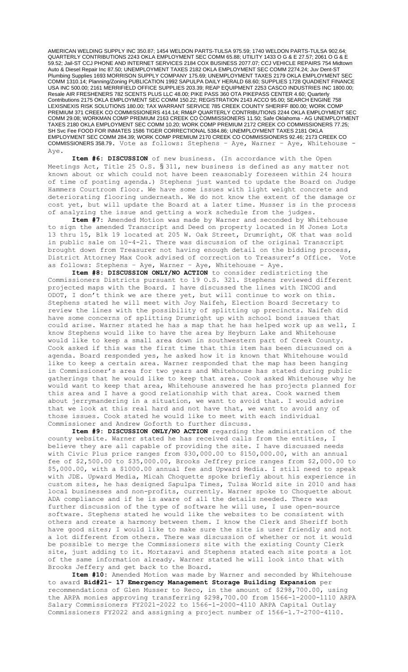AMERICAN WELDING SUPPLY INC 350.87; 1454 WELDON PARTS-TULSA 975.59; 1740 WELDON PARTS-TULSA 902.64; QUARTERLY CONTRIBUTIONS 2243 OKLA EMPLOYMENT SEC COMM 65.88; UTILITY 1433 O G & E 27.57; 2061 O G & E 59.52; Jail-ST CCJ PHONE AND INTERNET SERVICES 2184 COX BUSINESS 2077.07; CCJ VEHICLE REPAIRS 754 Midtown Auto & Diesel Repair Inc 87.50; UNEMPLOYMENT TAXES 2182 OKLA EMPLOYMENT SEC COMM 2274.24; Juv Dent-ST Plumbing Supplies 1693 MORRISON SUPPLY COMPANY 175.69; UNEMPLOYMENT TAXES 2179 OKLA EMPLOYMENT SEC COMM 1310.14; Planning/Zoning PUBLICATION 1992 SAPULPA DAILY HERALD 68.60; SUPPLIES 1728 QUADIENT FINANCE USA INC 500.00; 2161 MERRIFIELD OFFICE SUPPLIES 203.39; REAP EQUIPMENT 2253 CASCO INDUSTRIES INC 1800.00; Resale AIR FRESHENERS 782 SCENTS PLUS LLC 48.00; PIKE PASS 360 OTA PIKEPASS CENTER 4.60; Quarterly Contributions 2175 OKLA EMPLOYMENT SEC COMM 150.22; REGISTRATION 2143 ACCO 95.00; SEARCH ENGINE 758 LEXISNEXIS RISK SOLUTIONS 180.00; TAX WARRANT SERVICE 785 CREEK COUNTY SHERIFF 800.00; WORK COMP PREMIUM 371 CREEK CO COMMISSIONERS 414.14; RM&P QUARTERLY CONTRIBUTIONS 2244 OKLA EMPLOYMENT SEC COMM 29.08; WORKMAN COMP PREMIUM 2163 CREEK CO COMMISSIONERS 11.50; Safe Oklahoma - AG UNEMPLOYMENT TAXES 2180 OKLA EMPLOYMENT SEC COMM 10.20; WORK COMP PREMIUM 2172 CREEK CO COMMISSIONERS 77.25; SH Svc Fee FOOD FOR INMATES 1586 TIGER CORRECTIONAL 5384.86; UNEMPLOYMENT TAXES 2181 OKLA EMPLOYMENT SEC COMM 284.39; WORK COMP PREMIUM 2170 CREEK CO COMMISSIONERS 92.46; 2173 CREEK CO COMMISSIONERS 358.79. Vote as follows: Stephens – Aye, Warner – Aye, Whitehouse - Aye.

**Item #6: DISCUSSION** of new business. (In accordance with the Open Meetings Act, Title 25 O.S. § 311, new business is defined as any matter not known about or which could not have been reasonably foreseen within 24 hours of time of posting agenda.) Stephens just wanted to update the Board on Judge Hammers Courtroom floor. We have some issues with light weight concrete and deteriorating flooring underneath. We do not know the extent of the damage or cost yet, but will update the Board at a later time. Musser is in the process of analyzing the issue and getting a work schedule from the judges.

**Item #7:** Amended Motion was made by Warner and seconded by Whitehouse to sign the amended Transcript and Deed on property located in M Jones Lots 13 thru 15, Blk 19 located at 205 W. Oak Street, Drumright, OK that was sold in public sale on 10-4-21. There was discussion of the original Transcript brought down from Treasurer not having enough detail on the bidding process, District Attorney Max Cook advised of correction to Treasurer's Office. Vote as follows: Stephens – Aye, Warner – Aye, Whitehouse - Aye.

**Item #8: DISCUSSION ONLY/NO ACTION** to consider redistricting the Commissioners Districts pursuant to 19 O.S. 321. Stephens reviewed different projected maps with the Board. I have discussed the lines with INCOG and ODOT, I don't think we are there yet, but will continue to work on this. Stephens stated he will meet with Joy Naifeh, Election Board Secretary to review the lines with the possibility of splitting up precincts. Naifeh did have some concerns of splitting Drumright up with school bond issues that could arise. Warner stated he has a map that he has helped work up as well, I know Stephens would like to have the area by Heyburn Lake and Whitehouse would like to keep a small area down in southwestern part of Creek County. Cook asked if this was the first time that this item has been discussed on a agenda. Board responded yes, he asked how it is known that Whitehouse would like to keep a certain area. Warner responded that the map has been hanging in Commissioner's area for two years and Whitehouse has stated during public gatherings that he would like to keep that area. Cook asked Whitehouse why he would want to keep that area, Whitehouse answered he has projects planned for this area and I have a good relationship with that area. Cook warned them about jerrymandering in a situation, we want to avoid that. I would advise that we look at this real hard and not have that, we want to avoid any of those issues. Cook stated he would like to meet with each individual Commissioner and Andrew Goforth to further discuss.

**Item #9: DISCUSSION ONLY/NO ACTION** regarding the administration of the county website. Warner stated he has received calls from the entities, I believe they are all capable of providing the site. I have discussed needs with Civic Plus price ranges from \$30,000.00 to \$150,000.00, with an annual fee of \$2,500.00 to \$35,000.00, Brooks Jeffrey price ranges from \$2,000.00 to \$5,000.00, with a \$1000.00 annual fee and Upward Media. I still need to speak with JDE. Upward Media, Micah Choquette spoke briefly about his experience in custom sites, he has designed Sapulpa Times, Tulsa World site in 2010 and has local businesses and non-profits, currently. Warner spoke to Choquette about ADA compliance and if he is aware of all the details needed. There was further discussion of the type of software he will use, I use open-source software. Stephens stated he would like the websites to be consistent with others and create a harmony between them. I know the Clerk and Sheriff both have good sites; I would like to make sure the site is user friendly and not a lot different from others. There was discussion of whether or not it would be possible to merge the Commissioners site with the existing County Clerk site, just adding to it. Mortazavi and Stephens stated each site posts a lot of the same information already. Warner stated he will look into that with Brooks Jeffery and get back to the Board.

**Item #10:** Amended Motion was made by Warner and seconded by Whitehouse to award **Bid#21- 17 Emergency Management Storage Building Expansion** per recommendations of Glen Musser to Reco, in the amount of \$298,700.00, using the ARPA monies approving transferring \$298,700.00 from 1566-1-2000-1110 ARPA Salary Commissioners FY2021-2022 to 1566-1-2000-4110 ARPA Capital Outlay Commissioners FY2022 and assigning a project number of 1566-1.7-2700-4110.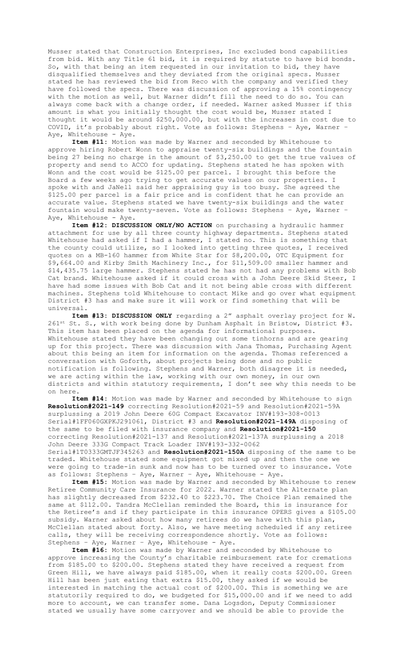Musser stated that Construction Enterprises, Inc excluded bond capabilities from bid. With any Title 61 bid, it is required by statute to have bid bonds. So, with that being an item requested in our invitation to bid, they have disqualified themselves and they deviated from the original specs. Musser stated he has reviewed the bid from Reco with the company and verified they have followed the specs. There was discussion of approving a 15% contingency with the motion as well, but Warner didn't fill the need to do so. You can always come back with a change order, if needed. Warner asked Musser if this amount is what you initially thought the cost would be, Musser stated I thought it would be around \$250,000.00, but with the increases in cost due to COVID, it's probably about right. Vote as follows: Stephens – Aye, Warner – Aye, Whitehouse - Aye.

**Item #11:** Motion was made by Warner and seconded by Whitehouse to approve hiring Robert Wonn to appraise twenty-six buildings and the fountain being 27 being no charge in the amount of \$3,250.00 to get the true values of property and send to ACCO for updating. Stephens stated he has spoken with Wonn and the cost would be \$125.00 per parcel. I brought this before the Board a few weeks ago trying to get accurate values on our properties. I spoke with and JaNell said her appraising guy is too busy. She agreed the \$125.00 per parcel is a fair price and is confident that he can provide an accurate value. Stephens stated we have twenty-six buildings and the water fountain would make twenty-seven. Vote as follows: Stephens – Aye, Warner – Aye, Whitehouse - Aye.

**Item #12: DISCUSSION ONLY/NO ACTION** on purchasing a hydraulic hammer attachment for use by all three county highway departments. Stephens stated Whitehouse had asked if I had a hammer, I stated no. This is something that the county could utilize, so I looked into getting three quotes, I received quotes on a MB-160 hammer from White Star for \$8,200.00, OTC Equipment for \$9,664.00 and Kirby Smith Machinery Inc., for \$11,509.00 smaller hammer and \$14,435.75 large hammer. Stephens stated he has not had any problems with Bob Cat brand. Whitehouse asked if it could cross with a John Deere Skid Steer, I have had some issues with Bob Cat and it not being able cross with different machines. Stephens told Whitehouse to contact Mike and go over what equipment District #3 has and make sure it will work or find something that will be universal.

**Item #13: DISCUSSION ONLY** regarding a 2" asphalt overlay project for W. 261st St. S., with work being done by Dunham Asphalt in Bristow, District #3. This item has been placed on the agenda for informational purposes. Whitehouse stated they have been changing out some tinhorns and are gearing up for this project. There was discussion with Jana Thomas, Purchasing Agent about this being an item for information on the agenda. Thomas referenced a conversation with Goforth, about projects being done and no public notification is following. Stephens and Warner, both disagree it is needed, we are acting within the law, working with our own money, in our own districts and within statutory requirements, I don't see why this needs to be on here.

**Item #14:** Motion was made by Warner and seconded by Whitehouse to sign **Resolution#2021-149** correcting Resolution#2021-59 and Resolution#2021-59A surplussing a 2019 John Deere 60G Compact Excavator INV#193-308-0013 Serial#1FF060GXPKJ291061, District #3 and **Resolution#2021-149A** disposing of the same to be filed with insurance company and **Resolution#2021-150** correcting Resolution#2021-137 and Resolution#2021-137A surplussing a 2018 John Deere 333G Compact Track Loader INV#193-332-0062 Serial#1T0333GMTJF345263 and **Resolution#2021-150A** disposing of the same to be traded. Whitehouse stated some equipment got mixed up and then the one we were going to trade-in sunk and now has to be turned over to insurance. Vote

as follows: Stephens – Aye, Warner – Aye, Whitehouse - Aye. **Item #15:** Motion was made by Warner and seconded by Whitehouse to renew Retiree Community Care Insurance for 2022. Warner stated the Alternate plan has slightly decreased from \$232.40 to \$223.70. The Choice Plan remained the same at \$112.00. Tandra McClellan reminded the Board, this is insurance for the Retiree's and if they participate in this insurance OPERS gives a \$105.00 subsidy. Warner asked about how many retirees do we have with this plan, McClellan stated about forty. Also, we have meeting scheduled if any retiree calls, they will be receiving correspondence shortly. Vote as follows: Stephens – Aye, Warner – Aye, Whitehouse - Aye.

**Item #16:** Motion was made by Warner and seconded by Whitehouse to approve increasing the County's charitable reimbursement rate for cremations from \$185.00 to \$200.00. Stephens stated they have received a request from Green Hill, we have always paid \$185.00, when it really costs \$200.00. Green Hill has been just eating that extra \$15.00, they asked if we would be interested in matching the actual cost of \$200.00. This is something we are statutorily required to do, we budgeted for \$15,000.00 and if we need to add more to account, we can transfer some. Dana Logsdon, Deputy Commissioner stated we usually have some carryover and we should be able to provide the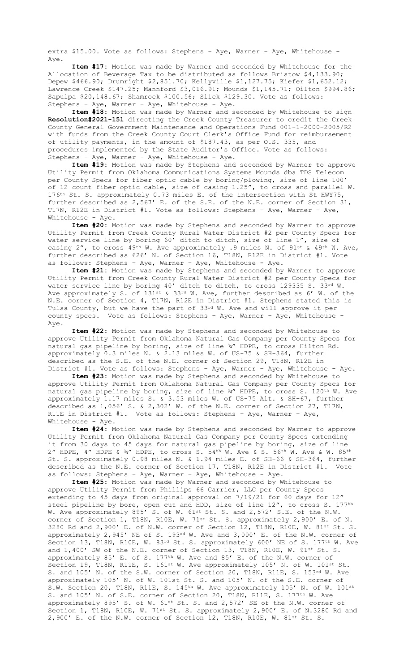extra \$15.00. Vote as follows: Stephens – Aye, Warner – Aye, Whitehouse - Aye.

**Item #17:** Motion was made by Warner and seconded by Whitehouse for the Allocation of Beverage Tax to be distributed as follows Bristow \$4,133.90; Depew \$466.90; Drumright \$2,851.70; Kellyville \$1,127.75; Kiefer \$1,652.12; Lawrence Creek \$147.25; Mannford \$3,016.91; Mounds \$1,145.71; Oilton \$994.86; Sapulpa \$20,148.67; Shamrock \$100.56; Slick \$129.30. Vote as follows: Stephens – Aye, Warner – Aye, Whitehouse - Aye.

**Item #18:** Motion was made by Warner and seconded by Whitehouse to sign **Resolution#2021-151** directing the Creek County Treasurer to credit the Creek County General Government Maintenance and Operations Fund 001-1-2000-2005/R2 with funds from the Creek County Court Clerk's Office Fund for reimbursement of utility payments, in the amount of \$187.43, as per O.S. 335, and procedures implemented by the State Auditor's Office. Vote as follows: Stephens – Aye, Warner – Aye, Whitehouse - Aye.

**Item #19:** Motion was made by Stephens and seconded by Warner to approve Utility Permit from Oklahoma Communications Systems Mounds dba TDS Telecom per County Specs for fiber optic cable by boring/plowing, size of line 100' of 12 count fiber optic cable, size of casing 1.25", to cross and parallel W. 176th St. S. approximately 0.73 miles E. of the intersection with St HWY75, further described as 2,567' E. of the S.E. of the N.E. corner of Section 31, T17N, R12E in District #1. Vote as follows: Stephens – Aye, Warner – Aye, Whitehouse - Aye.

**Item #20:** Motion was made by Stephens and seconded by Warner to approve Utility Permit from Creek County Rural Water District #2 per County Specs for water service line by boring 60' ditch to ditch, size of line 1", size of casing 2", to cross  $49th$  W. Ave approximately .9 miles N. of  $91st$  &  $49th$  W. Ave, further described as 626' N. of Section 16, T18N, R12E in District #1. Vote as follows: Stephens – Aye, Warner – Aye, Whitehouse - Aye.

**Item #21:** Motion was made by Stephens and seconded by Warner to approve Utility Permit from Creek County Rural Water District #2 per County Specs for water service line by boring 40' ditch to ditch, to cross 129335 S. 33rd W. Ave approximately S. of 131st & 33rd W. Ave, further described as 6' W. of the N.E. corner of Section 4, T17N, R12E in District #1. Stephens stated this is Tulsa County, but we have the part of 33rd W. Ave and will approve it per county specs. Vote as follows: Stephens – Aye, Warner – Aye, Whitehouse - Aye.

**Item #22:** Motion was made by Stephens and seconded by Whitehouse to approve Utility Permit from Oklahoma Natural Gas Company per County Specs for natural gas pipeline by boring, size of line ¾" HDPE, to cross Hilton Rd. approximately 0.3 miles N. & 2.13 miles W. of US-75 & SH-364, further described as the S.E. of the N.E. corner of Section 29, T18N, R12E in District #1. Vote as follows: Stephens – Aye, Warner – Aye, Whitehouse - Aye.

**Item #23:** Motion was made by Stephens and seconded by Whitehouse to approve Utility Permit from Oklahoma Natural Gas Company per County Specs for natural gas pipeline by boring, size of line ¾" HDPE, to cross S. 120<sup>th</sup> W. Ave approximately 1.17 miles S. & 3.53 miles W. of US-75 Alt. & SH-67, further described as 1,056' S. & 2,302' W. of the N.E. corner of Section 27, T17N, R11E in District #1. Vote as follows: Stephens – Aye, Warner – Aye, Whitehouse - Aye.

**Item #24:** Motion was made by Stephens and seconded by Warner to approve Utility Permit from Oklahoma Natural Gas Company per County Specs extending it from 30 days to 45 days for natural gas pipeline by boring, size of line 2" HDPE, 4" HDPE &  $\frac{3}{4}$ " HDPE, to cross S. 54<sup>th</sup> W. Ave & S. 56<sup>th</sup> W. Ave & W. 85<sup>th</sup> St. S. approximately 0.98 miles N. & 1.94 miles E. of SH-66 & SH-364, further described as the N.E. corner of Section 17, T18N, R12E in District #1. Vote as follows: Stephens – Aye, Warner – Aye, Whitehouse - Aye.

**Item #25:** Motion was made by Warner and seconded by Whitehouse to approve Utility Permit from Phillips 66 Carrier, LLC per County Specs extending to 45 days from original approval on 7/19/21 for 60 days for 12" steel pipeline by bore, open cut and HDD, size of line 12", to cross S. 177<sup>th</sup> W. Ave approximately 895' S. of W. 61st St. S. and 2,572' S.E. of the N.W. corner of Section 1, T18N, R10E, W. 71<sup>st</sup> St. S. approximately 2,900' E. of N. 3280 Rd and 2,900' E. of N.W. corner of Section 12, T18N, R10E, W. 81st St. S. approximately 2,945' NE of S. 193rd W. Ave and 3,000' E. of the N.W. corner of Section 13, T18N, R10E, W. 83rd St. S. approximately 600' NE of S. 177<sup>th</sup> W. Ave and 1,400' SW of the N.E. corner of Section 13, T18N, R10E, W. 91st St. S. approximately 85' E. of S. 177th W. Ave and 85' E. of the N.W. corner of Section 19, T18N, R11E, S. 161st W. Ave approximately 105' N. of W. 101st St. S. and 105' N. of the S.W. corner of Section 20, T18N, R11E, S. 153<sup>rd</sup> W. Ave approximately 105' N. of W. 101st St. S. and 105' N. of the S.E. corner of S.W. Section 20, T18N, R11E, S. 145<sup>th</sup> W. Ave approximately 105' N. of W. 101st S. and 105' N. of S.E. corner of Section 20, T18N, R11E, S. 177th W. Ave approximately 895' S. of W. 61st St. S. and 2,572' SE of the N.W. corner of Section 1, T18N, R10E, W. 71st St. S. approximately 2,900' E. of N.3280 Rd and 2,900' E. of the N.W. corner of Section 12, T18N, R10E, W. 81st St. S.